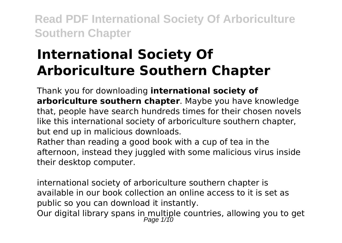# **International Society Of Arboriculture Southern Chapter**

Thank you for downloading **international society of arboriculture southern chapter**. Maybe you have knowledge that, people have search hundreds times for their chosen novels like this international society of arboriculture southern chapter, but end up in malicious downloads.

Rather than reading a good book with a cup of tea in the afternoon, instead they juggled with some malicious virus inside their desktop computer.

international society of arboriculture southern chapter is available in our book collection an online access to it is set as public so you can download it instantly. Our digital library spans in multiple countries, allowing you to get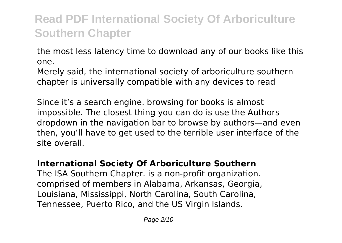the most less latency time to download any of our books like this one.

Merely said, the international society of arboriculture southern chapter is universally compatible with any devices to read

Since it's a search engine. browsing for books is almost impossible. The closest thing you can do is use the Authors dropdown in the navigation bar to browse by authors—and even then, you'll have to get used to the terrible user interface of the site overall.

### **International Society Of Arboriculture Southern**

The ISA Southern Chapter. is a non-profit organization. comprised of members in Alabama, Arkansas, Georgia, Louisiana, Mississippi, North Carolina, South Carolina, Tennessee, Puerto Rico, and the US Virgin Islands.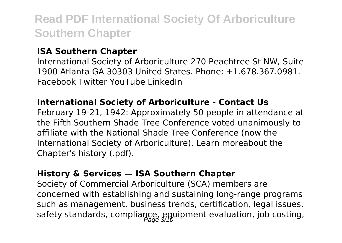#### **ISA Southern Chapter**

International Society of Arboriculture 270 Peachtree St NW, Suite 1900 Atlanta GA 30303 United States. Phone: +1.678.367.0981. Facebook Twitter YouTube LinkedIn

#### **International Society of Arboriculture - Contact Us**

February 19-21, 1942: Approximately 50 people in attendance at the Fifth Southern Shade Tree Conference voted unanimously to affiliate with the National Shade Tree Conference (now the International Society of Arboriculture). Learn moreabout the Chapter's history (.pdf).

#### **History & Services — ISA Southern Chapter**

Society of Commercial Arboriculture (SCA) members are concerned with establishing and sustaining long-range programs such as management, business trends, certification, legal issues, safety standards, compliance, equipment evaluation, job costing,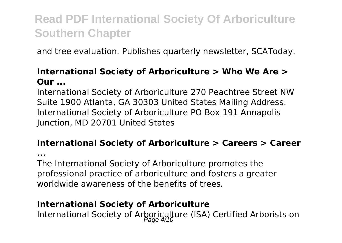and tree evaluation. Publishes quarterly newsletter, SCAToday.

#### **International Society of Arboriculture > Who We Are > Our ...**

International Society of Arboriculture 270 Peachtree Street NW Suite 1900 Atlanta, GA 30303 United States Mailing Address. International Society of Arboriculture PO Box 191 Annapolis Junction, MD 20701 United States

### **International Society of Arboriculture > Careers > Career**

**...**

The International Society of Arboriculture promotes the professional practice of arboriculture and fosters a greater worldwide awareness of the benefits of trees.

### **International Society of Arboriculture**

International Society of Arboriculture (ISA) Certified Arborists on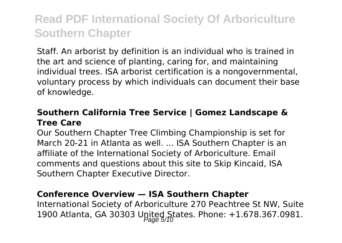Staff. An arborist by definition is an individual who is trained in the art and science of planting, caring for, and maintaining individual trees. ISA arborist certification is a nongovernmental, voluntary process by which individuals can document their base of knowledge.

#### **Southern California Tree Service | Gomez Landscape & Tree Care**

Our Southern Chapter Tree Climbing Championship is set for March 20-21 in Atlanta as well. ... ISA Southern Chapter is an affiliate of the International Society of Arboriculture. Email comments and questions about this site to Skip Kincaid, ISA Southern Chapter Executive Director.

#### **Conference Overview — ISA Southern Chapter**

International Society of Arboriculture 270 Peachtree St NW, Suite 1900 Atlanta, GA 30303 Upited States. Phone: +1.678.367.0981.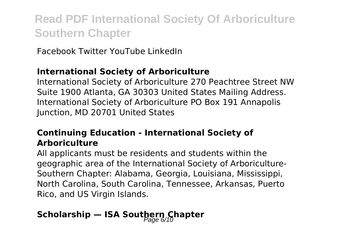Facebook Twitter YouTube LinkedIn

### **International Society of Arboriculture**

International Society of Arboriculture 270 Peachtree Street NW Suite 1900 Atlanta, GA 30303 United States Mailing Address. International Society of Arboriculture PO Box 191 Annapolis Junction, MD 20701 United States

### **Continuing Education - International Society of Arboriculture**

All applicants must be residents and students within the geographic area of the International Society of Arboriculture-Southern Chapter: Alabama, Georgia, Louisiana, Mississippi, North Carolina, South Carolina, Tennessee, Arkansas, Puerto Rico, and US Virgin Islands.

## **Scholarship — ISA Southern Chapter**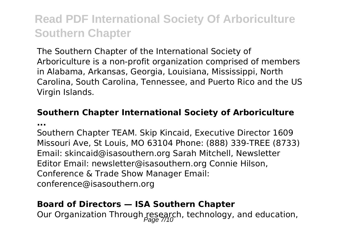The Southern Chapter of the International Society of Arboriculture is a non-profit organization comprised of members in Alabama, Arkansas, Georgia, Louisiana, Mississippi, North Carolina, South Carolina, Tennessee, and Puerto Rico and the US Virgin Islands.

#### **Southern Chapter International Society of Arboriculture ...**

Southern Chapter TEAM. Skip Kincaid, Executive Director 1609 Missouri Ave, St Louis, MO 63104 Phone: (888) 339-TREE (8733) Email: skincaid@isasouthern.org Sarah Mitchell, Newsletter Editor Email: newsletter@isasouthern.org Connie Hilson, Conference & Trade Show Manager Email: conference@isasouthern.org

#### **Board of Directors — ISA Southern Chapter**

Our Organization Through research, technology, and education,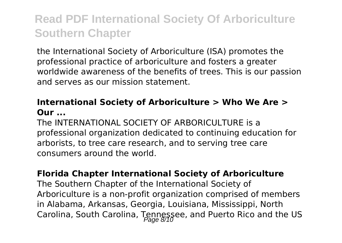the International Society of Arboriculture (ISA) promotes the professional practice of arboriculture and fosters a greater worldwide awareness of the benefits of trees. This is our passion and serves as our mission statement.

### **International Society of Arboriculture > Who We Are > Our ...**

The INTERNATIONAL SOCIETY OF ARRORICULTURE is a professional organization dedicated to continuing education for arborists, to tree care research, and to serving tree care consumers around the world.

#### **Florida Chapter International Society of Arboriculture**

The Southern Chapter of the International Society of Arboriculture is a non-profit organization comprised of members in Alabama, Arkansas, Georgia, Louisiana, Mississippi, North Carolina, South Carolina, Tennessee, and Puerto Rico and the US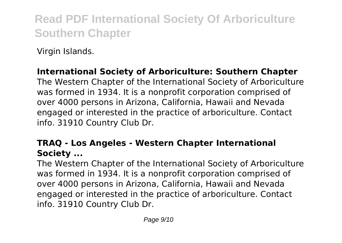Virgin Islands.

### **International Society of Arboriculture: Southern Chapter**

The Western Chapter of the International Society of Arboriculture was formed in 1934. It is a nonprofit corporation comprised of over 4000 persons in Arizona, California, Hawaii and Nevada engaged or interested in the practice of arboriculture. Contact info. 31910 Country Club Dr.

### **TRAQ - Los Angeles - Western Chapter International Society ...**

The Western Chapter of the International Society of Arboriculture was formed in 1934. It is a nonprofit corporation comprised of over 4000 persons in Arizona, California, Hawaii and Nevada engaged or interested in the practice of arboriculture. Contact info. 31910 Country Club Dr.